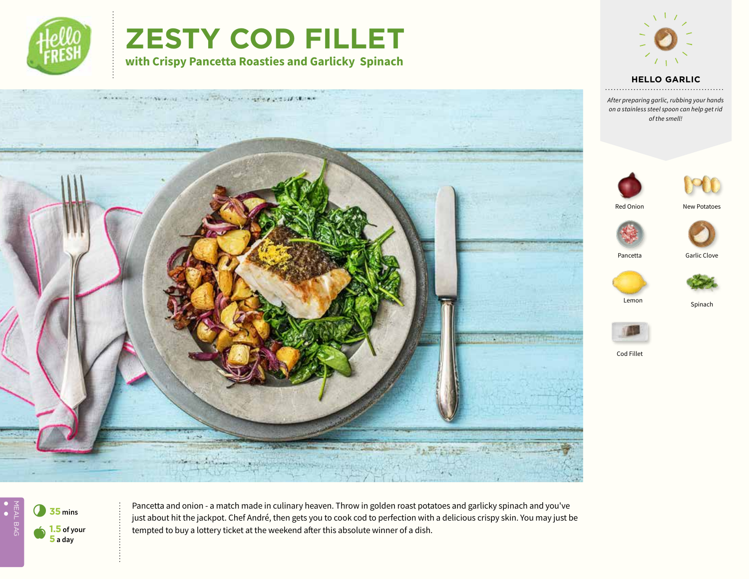

## **ZESTY COD FILLET**

**with Crispy Pancetta Roasties and Garlicky Spinach**



## **HELLO TEXT HELLO GARLIC**

*Text After preparing garlic, rubbing your hands on a stainless steel spoon can help get rid of the smell!*





Red Onion





Pancetta Garlic Clove









Cod Fillet





Pancetta and onion - a match made in culinary heaven. Throw in golden roast potatoes and garlicky spinach and you've just about hit the jackpot. Chef André, then gets you to cook cod to perfection with a delicious crispy skin. You may just be tempted to buy a lottery ticket at the weekend after this absolute winner of a dish.